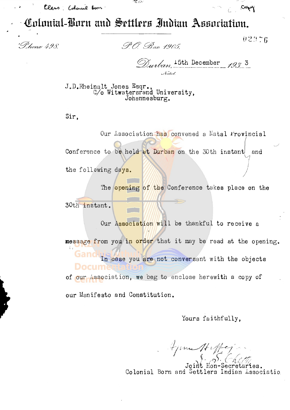Class Colonial Born

Colonial-Born and Settlers Indian Association.

像如

Phone 498.

P.O. Box 1905

 $02076$ 

Copy

Durlan, 15th December 1933 Natal.

J.D.Rheinalt Jones Esqr.,<br>C/o Witwatersrand University, Johannesburg.

Sir,

Our Association has convened a Natal Provincial Conference to be held at Durban on the 30th instant and the following days.

The opening of the Conference takes place on the 30th instant.

Our Association will be thankful to receive a message from you in order that it may be read at the opening. In case you are not conversant with the objects Docum of our Association, we beg to enclose herewith a copy of our Manifesto and Constitution.

Yours faithfully.

Aprim Haffey

etaries. Colonial Born and Settlers Indian Associatio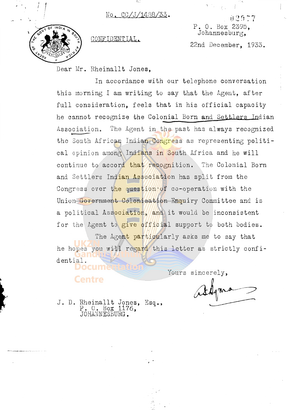No. CC/J/1488/33.

33.



the contract of

<sup>~</sup>

**P.** O. Box 2395, CONFIDENTIAL. Johannesburg,

'1

22nd December, 1933.

Dear Mr. Rheinallt Jones,

-**-**In accordance with our telephone conversation this morning I am writing to say that the Agent, after full consideration, feels that in his official capaoity he cannot recognize the Colonial Born and Settlers Indian Assooiation. The Agent in the past has always recognized 10 the South African Indian Congress as representing political opinion among Indians in South Africa and he will continue to accord that recognition. The Colonial Born and Settlers Indian Association has split from the Congress over the question of co-operation with the Union Government Colonisation Enquiry Committee and is a political Association, and it would be inconsistent for the Agent to give official support to both bodies.

The Agent particularly asks me to say that he hopes you will regard this letter as strictly confidential.

Yours sincerely,

as Hqms

J. D. Rheinall P. O. Box t Jones, 1176, Esq. , ~~ " JOHANNESBURG.

**Centre**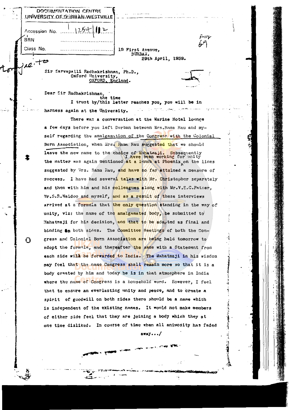|            | 1254<br>Accession No.                                                                                                                                             |            |  |
|------------|-------------------------------------------------------------------------------------------------------------------------------------------------------------------|------------|--|
| <b>BRN</b> | سؤااستم                                                                                                                                                           |            |  |
| Class No.  | 19 First Avenue,                                                                                                                                                  |            |  |
|            | DURBAN.<br>29th April, 1939.                                                                                                                                      |            |  |
| $42 + 8$   |                                                                                                                                                                   |            |  |
|            | Sir Sarvapalli Radhakrishnan, Ph.D.,<br>Oxford University,<br>OXFORD, England.                                                                                    |            |  |
|            | Dear Sir Radhakrishnan,                                                                                                                                           |            |  |
|            | the time<br>I trust by/this letter reaches you, you will be in                                                                                                    |            |  |
|            | i - TESTRI G <del>re</del> ni<br>harness again at the University.                                                                                                 |            |  |
|            | There was a conversation at the Marine Hotel lounge                                                                                                               |            |  |
|            | a few days before you left Durban between Mrs.Rama Rau and my-                                                                                                    |            |  |
|            | self regarding the amalgamation of the Congress with the Colonial                                                                                                 |            |  |
|            | Born Association, when Mrs. Hama Rau suggested that we should                                                                                                     |            |  |
|            | leave the new name to the choice of Mahatmaji. Subsequently<br>I have been working for unity<br>the matter was again mentioned at a lunch at Phoenix on the lines |            |  |
|            | suggested by Wrs. Rama Rau, and have so far attained a measure of                                                                                                 |            |  |
|            | success. I have had several talks with Ur. Christopher separately                                                                                                 |            |  |
|            | and then with him and his colleagues along with Mr.V.S.C.Pather,                                                                                                  |            |  |
|            | Mr.S.R. Naidoo and myself, and as a result of these interviews                                                                                                    |            |  |
|            | arrived at a formula that the only question standing in the way of                                                                                                |            |  |
|            | unity, viz: the name of the amalgamated body, be submitted to                                                                                                     |            |  |
|            | Mahatmaji for his decision, and that to be ado <sub>rated</sub> as final and                                                                                      |            |  |
|            | binding <b>On</b> both sides. The Committee Meetings of both the Con-                                                                                             |            |  |
| O          | gress and Colonial Born Association are being held tomorrow to                                                                                                    |            |  |
|            | adopt the formula, and thereafter the same with a Statement from                                                                                                  |            |  |
|            | each side will be forwarded to India. The Mahatmaji in his wisdom                                                                                                 |            |  |
|            | may feel that the name Congress shall remain more so that it is a                                                                                                 |            |  |
|            | body created by him and today he is in that atmosphere in India                                                                                                   |            |  |
|            | where the name of Congress is a household word. However, I feel                                                                                                   |            |  |
|            | that to ensure an everlasting unity and peace, and to create a                                                                                                    |            |  |
|            | spirit of goodwill on both sides there should be a name which                                                                                                     |            |  |
|            | is independent of the existing names. It would not make members                                                                                                   |            |  |
|            | of either side feel that they are joining a body which they at                                                                                                    |            |  |
|            | one time disliked. In course of time when all animosity has faded                                                                                                 |            |  |
|            | away/                                                                                                                                                             |            |  |
|            |                                                                                                                                                                   |            |  |
|            |                                                                                                                                                                   | 情報情報 とうにゅう |  |
|            | УŘ.                                                                                                                                                               |            |  |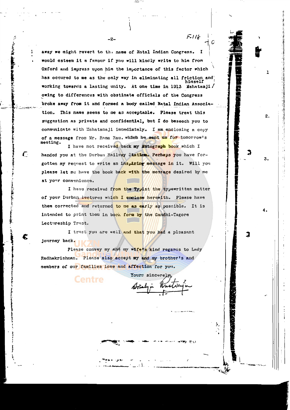away we might revert to the name of Natal Indian Congress. I would esteem it a favour if you will kindly write to him from Oxford and impress upon him the importance of this factor which has occured to me as the only way in eliminating all friction and working towards a lasting unity. At one time in 1913 Mahatamji/ owing to differences with obstinate officials of the Congress broke away from it and formed a body called Natal Indian Association. This name seems to me as acceptable. Please treat this suggestion as private and confidential, but I do beseech you to communicate with Mahatamaji immediately. I am enclosing a copy of a message from Mr. Rama Rau. which he sent us for tomorrow's meoting.

-2-

 $F=118$ 

ı

2.

3.

I have not received back my Autograph book which I handed you at the Durban Railway Station. Perhaps you have forgotten my request to write an insulring message in it. Will you please let me have the book back with the message desired by me at your convenience.

C.

I have received from the Typist the typewritten matter of your Durban lectures which I enclose herewith. Please have them corrected and returned to me as early as possible. It is intended to print them in book fore by the Candhi-Tagore Lectureship Trust.

I trust you are well and that you had a pleasant journey back.

Please convey my and my wife's kind regards to Lady Radhakrishnan. Please also accept my and my brother's and members of our families love and affection for you.

**Centre** 

Yours sincerely

à,